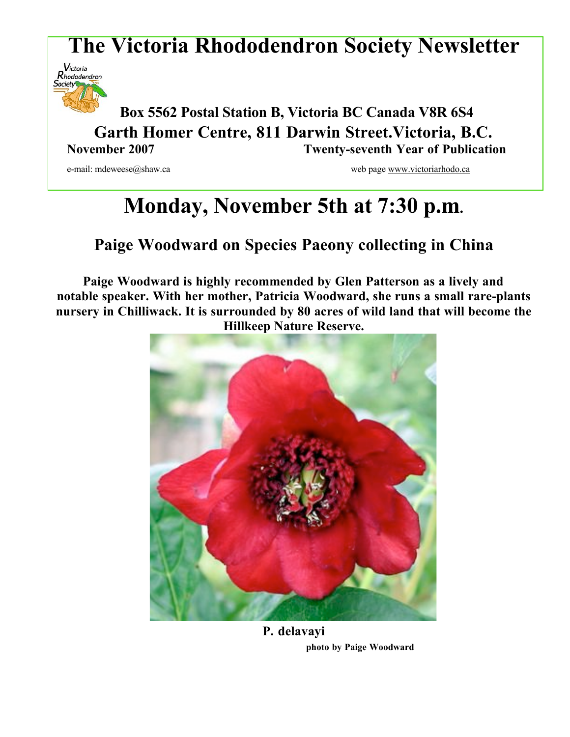# **The Victoria Rhododendron Society Newsletter**



## **Box <sup>5562</sup> Postal Station B, Victoria BC Canada V8R 6S4 Garth Homer Centre, 811 Darwin Street.Victoria, B.C. November 2007 Twenty-seventh Year of Publication**

e-mail: mdeweese@shaw.ca web page www.victoriarhodo.ca web page www.victoriarhodo.ca

# **Monday, November 5th at 7:30 p.m.**

## **Paige Woodward on Species Paeony collecting in China**

**Paige Woodward is highly recommended by Glen Patterson as a lively and notable speaker. With her mother, Patricia Woodward, she runs a small rare-plants nursery in Chilliwack. It is surrounded by 80 acres of wild land that will become the Hillkeep Nature Reserve.**



**P. delavayi photo by Paige Woodward**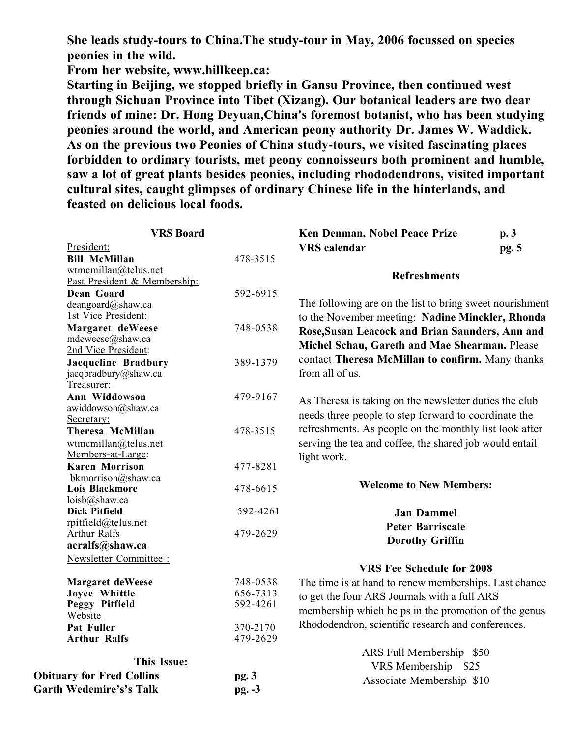**She leads study-tours to China.The study-tour in May, 2006 focussed on species peonies in the wild.**

**From her website, www.hillkeep.ca:**

**Starting in Beijing, we stopped briefly in Gansu Province, then continued west through Sichuan Province into Tibet (Xizang). Our botanical leaders are two dear friends of mine: Dr. Hong Deyuan,China's foremost botanist, who has been studying peonies around the world, and American peony authority Dr. James W. Waddick. As on the previous two Peonies of China study-tours, we visited fascinating places forbidden to ordinary tourists, met peony connoisseurs both prominent and humble, saw a lot of great plants besides peonies, including rhododendrons, visited important cultural sites, caught glimpses of ordinary Chinese life in the hinterlands, and feasted on delicious local foods.**

| <b>VRS</b> Board                                     |          | Ken Denman, Nobel Peace Prize                            | p.3   |
|------------------------------------------------------|----------|----------------------------------------------------------|-------|
| President:                                           |          | <b>VRS</b> calendar                                      | pg. 5 |
| <b>Bill McMillan</b>                                 | 478-3515 |                                                          |       |
| wtmcmillan@telus.net<br>Past President & Membership: |          | <b>Refreshments</b>                                      |       |
| Dean Goard                                           | 592-6915 |                                                          |       |
| deangoard@shaw.ca                                    |          | The following are on the list to bring sweet nourishment |       |
| 1st Vice President:                                  |          | to the November meeting: Nadine Minckler, Rhonda         |       |
| Margaret deWeese                                     | 748-0538 | Rose, Susan Leacock and Brian Saunders, Ann and          |       |
| mdeweese@shaw.ca                                     |          |                                                          |       |
| 2nd Vice President:                                  |          | Michel Schau, Gareth and Mae Shearman. Please            |       |
| <b>Jacqueline Bradbury</b>                           | 389-1379 | contact Theresa McMillan to confirm. Many thanks         |       |
| jacqbradbury@shaw.ca                                 |          | from all of us.                                          |       |
| Treasurer:                                           |          |                                                          |       |
| Ann Widdowson                                        | 479-9167 | As Theresa is taking on the newsletter duties the club   |       |
| awiddowson@shaw.ca                                   |          | needs three people to step forward to coordinate the     |       |
| Secretary:                                           |          |                                                          |       |
| <b>Theresa McMillan</b>                              | 478-3515 | refreshments. As people on the monthly list look after   |       |
| wtmcmillan@telus.net                                 |          | serving the tea and coffee, the shared job would entail  |       |
| Members-at-Large:                                    |          | light work.                                              |       |
| <b>Karen Morrison</b>                                | 477-8281 |                                                          |       |
| bkmorrison@shaw.ca<br><b>Lois Blackmore</b>          | 478-6615 | <b>Welcome to New Members:</b>                           |       |
| $loisb(a)$ shaw.ca                                   |          |                                                          |       |
| <b>Dick Pitfield</b>                                 | 592-4261 | <b>Jan Dammel</b>                                        |       |
| rpitfield@telus.net                                  |          | <b>Peter Barriscale</b>                                  |       |
| Arthur Ralfs                                         | 479-2629 |                                                          |       |
| acralfs@shaw.ca                                      |          | <b>Dorothy Griffin</b>                                   |       |
| Newsletter Committee :                               |          |                                                          |       |
|                                                      |          | <b>VRS Fee Schedule for 2008</b>                         |       |
| <b>Margaret deWeese</b>                              | 748-0538 | The time is at hand to renew memberships. Last chance    |       |
| Joyce Whittle                                        | 656-7313 | to get the four ARS Journals with a full ARS             |       |
| Peggy Pitfield                                       | 592-4261 | membership which helps in the promotion of the genus     |       |
| Website                                              |          |                                                          |       |
| Pat Fuller                                           | 370-2170 | Rhododendron, scientific research and conferences.       |       |
| <b>Arthur Ralfs</b>                                  | 479-2629 |                                                          |       |
|                                                      |          | ARS Full Membership \$50                                 |       |
| <b>This Issue:</b>                                   |          | VRS Membership<br>\$25                                   |       |
| <b>Obituary for Fred Collins</b><br>pg. 3            |          | Associate Membership \$10                                |       |
| <b>Garth Wedemire's's Talk</b>                       | $pg. -3$ |                                                          |       |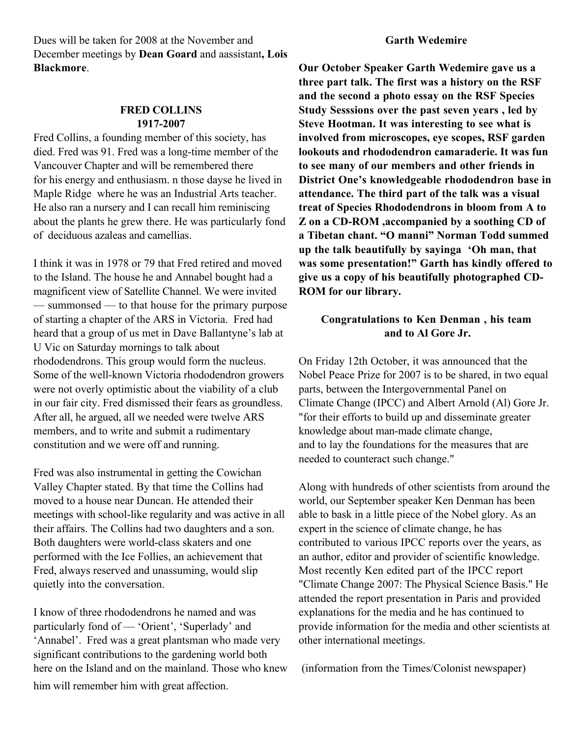Dues will be taken for 2008 at the November and December meetings by **Dean Goard** and aassistant**, Lois Blackmore**.

#### **FRED COLLINS 1917-2007**

Fred Collins, a founding member of this society, has died. Fred was 91. Fred was a long-time member of the Vancouver Chapter and will be remembered there for his energy and enthusiasm. n those dayse he lived in Maple Ridge where he was an Industrial Arts teacher. He also ran a nursery and I can recall him reminiscing about the plants he grew there. He was particularly fond of deciduous azaleas and camellias.

I think it was in 1978 or 79 that Fred retired and moved to the Island. The house he and Annabel bought had a magnificent view of Satellite Channel. We were invited — summonsed — to that house for the primary purpose of starting a chapter of the ARS in Victoria. Fred had heard that a group of us met in Dave Ballantyne's lab at U Vic on Saturday mornings to talk about rhododendrons. This group would form the nucleus. Some of the well-known Victoria rhododendron growers were not overly optimistic about the viability of a club in our fair city. Fred dismissed their fears as groundless. After all, he argued, all we needed were twelve ARS members, and to write and submit a rudimentary constitution and we were off and running.

Fred was also instrumental in getting the Cowichan Valley Chapter stated. By that time the Collins had moved to a house near Duncan. He attended their meetings with school-like regularity and was active in all their affairs. The Collins had two daughters and a son. Both daughters were world-class skaters and one performed with the Ice Follies, an achievement that Fred, always reserved and unassuming, would slip quietly into the conversation.

I know of three rhododendrons he named and was particularly fond of — 'Orient', 'Superlady' and 'Annabel'. Fred was a great plantsman who made very significant contributions to the gardening world both here on the Island and on the mainland. Those who knew him will remember him with great affection.

**Our October Speaker Garth Wedemire gave us a three part talk. The first was a history on the RSF and the second a photo essay on the RSF Species Study Sesssions over the past seven years , led by Steve Hootman. It was interesting to see what is involved from microscopes, eye scopes, RSF garden lookouts and rhododendron camaraderie. It was fun to see many of our members and other friends in District One's knowledgeable rhododendron base in attendance. The third part of the talk was a visual treat of Species Rhododendrons in bloom from A to Z on a CD-ROM ,accompanied by a soothing CD of a Tibetan chant. "O manni" Norman Todd summed up the talk beautifully by sayinga 'Oh man, that was some presentation!" Garth has kindly offered to give us a copy of his beautifully photographed CD-ROM for our library.**

### **Congratulations to Ken Denman , his team and to Al Gore Jr.**

On Friday 12th October, it was announced that the Nobel Peace Prize for 2007 is to be shared, in two equal parts, between the Intergovernmental Panel on Climate Change (IPCC) and Albert Arnold (Al) Gore Jr. "for their efforts to build up and disseminate greater knowledge about man-made climate change, and to lay the foundations for the measures that are needed to counteract such change."

Along with hundreds of other scientists from around the world, our September speaker Ken Denman has been able to bask in a little piece of the Nobel glory. As an expert in the science of climate change, he has contributed to various IPCC reports over the years, as an author, editor and provider of scientific knowledge. Most recently Ken edited part of the IPCC report "Climate Change 2007: The Physical Science Basis." He attended the report presentation in Paris and provided explanations for the media and he has continued to provide information for the media and other scientists at other international meetings.

(information from the Times/Colonist newspaper)